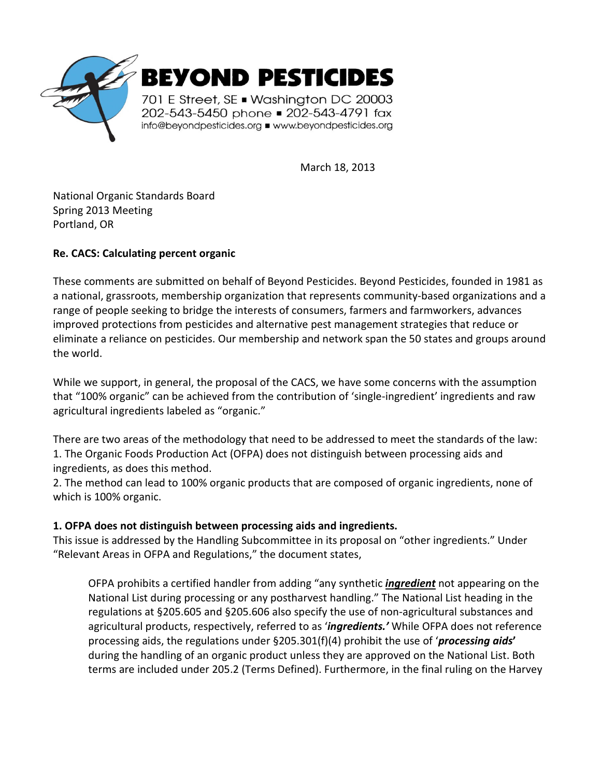

March 18, 2013

National Organic Standards Board Spring 2013 Meeting Portland, OR

# **Re. CACS: Calculating percent organic**

These comments are submitted on behalf of Beyond Pesticides. Beyond Pesticides, founded in 1981 as a national, grassroots, membership organization that represents community-based organizations and a range of people seeking to bridge the interests of consumers, farmers and farmworkers, advances improved protections from pesticides and alternative pest management strategies that reduce or eliminate a reliance on pesticides. Our membership and network span the 50 states and groups around the world.

While we support, in general, the proposal of the CACS, we have some concerns with the assumption that "100% organic" can be achieved from the contribution of 'single-ingredient' ingredients and raw agricultural ingredients labeled as "organic."

There are two areas of the methodology that need to be addressed to meet the standards of the law: 1. The Organic Foods Production Act (OFPA) does not distinguish between processing aids and ingredients, as does this method.

2. The method can lead to 100% organic products that are composed of organic ingredients, none of which is 100% organic.

## **1. OFPA does not distinguish between processing aids and ingredients.**

This issue is addressed by the Handling Subcommittee in its proposal on "other ingredients." Under "Relevant Areas in OFPA and Regulations," the document states,

OFPA prohibits a certified handler from adding "any synthetic *ingredient* not appearing on the National List during processing or any postharvest handling." The National List heading in the regulations at §205.605 and §205.606 also specify the use of non-agricultural substances and agricultural products, respectively, referred to as '*ingredients.'* While OFPA does not reference processing aids, the regulations under §205.301(f)(4) prohibit the use of '*processing aids***'**  during the handling of an organic product unless they are approved on the National List. Both terms are included under 205.2 (Terms Defined). Furthermore, in the final ruling on the Harvey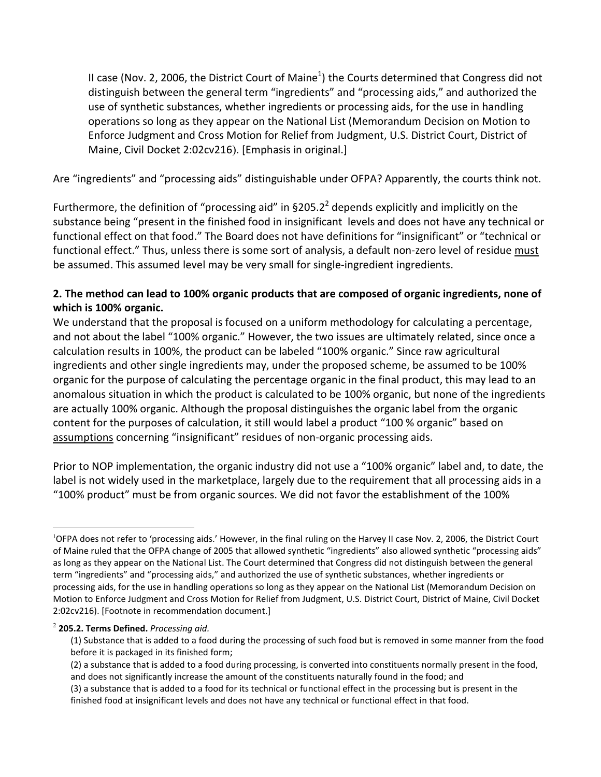II case (Nov. 2, 2006, the District Court of Maine<sup>1</sup>) the Courts determined that Congress did not distinguish between the general term "ingredients" and "processing aids," and authorized the use of synthetic substances, whether ingredients or processing aids, for the use in handling operations so long as they appear on the National List (Memorandum Decision on Motion to Enforce Judgment and Cross Motion for Relief from Judgment, U.S. District Court, District of Maine, Civil Docket 2:02cv216). [Emphasis in original.]

Are "ingredients" and "processing aids" distinguishable under OFPA? Apparently, the courts think not.

Furthermore, the definition of "processing aid" in §205.2<sup>2</sup> depends explicitly and implicitly on the substance being "present in the finished food in insignificant levels and does not have any technical or functional effect on that food." The Board does not have definitions for "insignificant" or "technical or functional effect." Thus, unless there is some sort of analysis, a default non-zero level of residue must be assumed. This assumed level may be very small for single-ingredient ingredients.

# **2. The method can lead to 100% organic products that are composed of organic ingredients, none of which is 100% organic.**

We understand that the proposal is focused on a uniform methodology for calculating a percentage, and not about the label "100% organic." However, the two issues are ultimately related, since once a calculation results in 100%, the product can be labeled "100% organic." Since raw agricultural ingredients and other single ingredients may, under the proposed scheme, be assumed to be 100% organic for the purpose of calculating the percentage organic in the final product, this may lead to an anomalous situation in which the product is calculated to be 100% organic, but none of the ingredients are actually 100% organic. Although the proposal distinguishes the organic label from the organic content for the purposes of calculation, it still would label a product "100 % organic" based on assumptions concerning "insignificant" residues of non-organic processing aids.

Prior to NOP implementation, the organic industry did not use a "100% organic" label and, to date, the label is not widely used in the marketplace, largely due to the requirement that all processing aids in a "100% product" must be from organic sources. We did not favor the establishment of the 100%

#### 2 **205.2. Terms Defined.** *Processing aid.*

1

<sup>&</sup>lt;sup>1</sup>OFPA does not refer to 'processing aids.' However, in the final ruling on the Harvey II case Nov. 2, 2006, the District Court of Maine ruled that the OFPA change of 2005 that allowed synthetic "ingredients" also allowed synthetic "processing aids" as long as they appear on the National List. The Court determined that Congress did not distinguish between the general term "ingredients" and "processing aids," and authorized the use of synthetic substances, whether ingredients or processing aids, for the use in handling operations so long as they appear on the National List (Memorandum Decision on Motion to Enforce Judgment and Cross Motion for Relief from Judgment, U.S. District Court, District of Maine, Civil Docket 2:02cv216). [Footnote in recommendation document.]

<sup>(1)</sup> Substance that is added to a food during the processing of such food but is removed in some manner from the food before it is packaged in its finished form;

<sup>(2)</sup> a substance that is added to a food during processing, is converted into constituents normally present in the food, and does not significantly increase the amount of the constituents naturally found in the food; and

<sup>(3)</sup> a substance that is added to a food for its technical or functional effect in the processing but is present in the finished food at insignificant levels and does not have any technical or functional effect in that food.